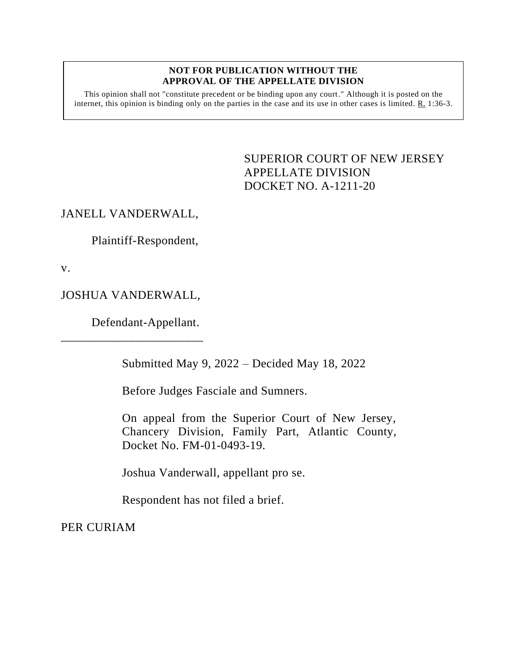## **NOT FOR PUBLICATION WITHOUT THE APPROVAL OF THE APPELLATE DIVISION**

This opinion shall not "constitute precedent or be binding upon any court." Although it is posted on the internet, this opinion is binding only on the parties in the case and its use in other cases is limited. R. 1:36-3.

> <span id="page-0-0"></span>SUPERIOR COURT OF NEW JERSEY APPELLATE DIVISION DOCKET NO. A-1211-20

## JANELL VANDERWALL,

Plaintiff-Respondent,

v.

JOSHUA VANDERWALL,

\_\_\_\_\_\_\_\_\_\_\_\_\_\_\_\_\_\_\_\_\_\_\_

Defendant-Appellant.

Submitted May 9, 2022 – Decided May 18, 2022

Before Judges Fasciale and Sumners.

On appeal from the Superior Court of New Jersey, Chancery Division, Family Part, Atlantic County, Docket No. FM-01-0493-19.

Joshua Vanderwall, appellant pro se.

Respondent has not filed a brief.

PER CURIAM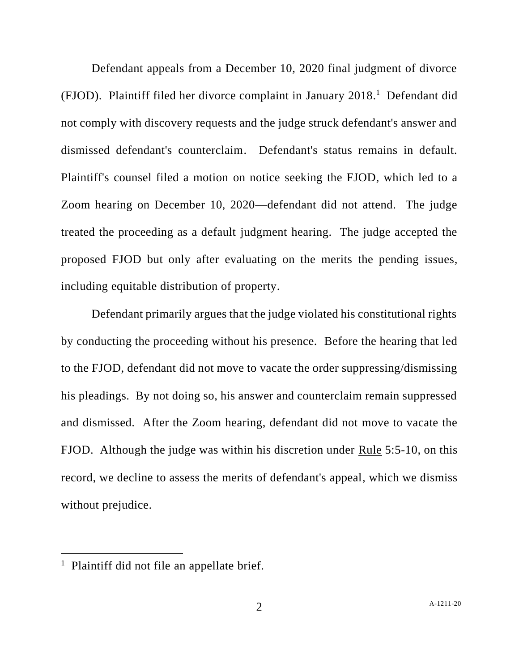Defendant appeals from a December 10, 2020 final judgment of divorce (FJOD). Plaintiff filed her divorce complaint in January 2018. 1 Defendant did not comply with discovery requests and the judge struck defendant's answer and dismissed defendant's counterclaim. Defendant's status remains in default. Plaintiff's counsel filed a motion on notice seeking the FJOD, which led to a Zoom hearing on December 10, 2020—defendant did not attend. The judge treated the proceeding as a default judgment hearing. The judge accepted the proposed FJOD but only after evaluating on the merits the pending issues, including equitable distribution of property.

Defendant primarily argues that the judge violated his constitutional rights by conducting the proceeding without his presence. Before the hearing that led to the FJOD, defendant did not move to vacate the order suppressing/dismissing his pleadings. By not doing so, his answer and counterclaim remain suppressed and dismissed. After the Zoom hearing, defendant did not move to vacate the FJOD. Although the judge was within his discretion under Rule 5:5-10, on this record, we decline to assess the merits of defendant's appeal, which we dismiss without prejudice.

<sup>&</sup>lt;sup>1</sup> Plaintiff did not file an appellate brief.